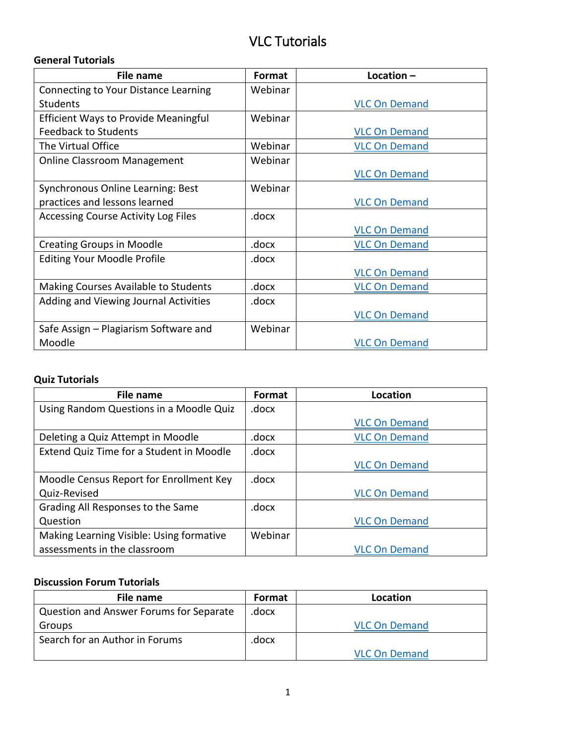# VLC Tutorials

#### **General Tutorials**

| <b>File name</b>                            | Format  | Location $-$         |
|---------------------------------------------|---------|----------------------|
| Connecting to Your Distance Learning        | Webinar |                      |
| <b>Students</b>                             |         | <b>VLC On Demand</b> |
| <b>Efficient Ways to Provide Meaningful</b> | Webinar |                      |
| <b>Feedback to Students</b>                 |         | <b>VLC On Demand</b> |
| The Virtual Office                          | Webinar | <b>VLC On Demand</b> |
| <b>Online Classroom Management</b>          | Webinar |                      |
|                                             |         | <b>VLC On Demand</b> |
| Synchronous Online Learning: Best           | Webinar |                      |
| practices and lessons learned               |         | <b>VLC On Demand</b> |
| <b>Accessing Course Activity Log Files</b>  | .docx   |                      |
|                                             |         | <b>VLC On Demand</b> |
| <b>Creating Groups in Moodle</b>            | .docx   | <b>VLC On Demand</b> |
| <b>Editing Your Moodle Profile</b>          | .docx   |                      |
|                                             |         | <b>VLC On Demand</b> |
| Making Courses Available to Students        | .docx   | <b>VLC On Demand</b> |
| Adding and Viewing Journal Activities       | .docx   |                      |
|                                             |         | <b>VLC On Demand</b> |
| Safe Assign – Plagiarism Software and       | Webinar |                      |
| Moodle                                      |         | <b>VLC On Demand</b> |

### **Quiz Tutorials**

| File name                                | Format  | Location             |
|------------------------------------------|---------|----------------------|
| Using Random Questions in a Moodle Quiz  | .docx   |                      |
|                                          |         | <b>VLC On Demand</b> |
| Deleting a Quiz Attempt in Moodle        | .docx   | <b>VLC On Demand</b> |
| Extend Quiz Time for a Student in Moodle | .docx   |                      |
|                                          |         | <b>VLC On Demand</b> |
| Moodle Census Report for Enrollment Key  | .docx   |                      |
| Quiz-Revised                             |         | <b>VLC On Demand</b> |
| Grading All Responses to the Same        | .docx   |                      |
| Question                                 |         | <b>VLC On Demand</b> |
| Making Learning Visible: Using formative | Webinar |                      |
| assessments in the classroom             |         | <b>VLC On Demand</b> |

## **Discussion Forum Tutorials**

| File name                               | <b>Format</b> | Location             |
|-----------------------------------------|---------------|----------------------|
| Question and Answer Forums for Separate | .docx         |                      |
| Groups                                  |               | <b>VLC On Demand</b> |
| Search for an Author in Forums          | .docx         |                      |
|                                         |               | <b>VLC On Demand</b> |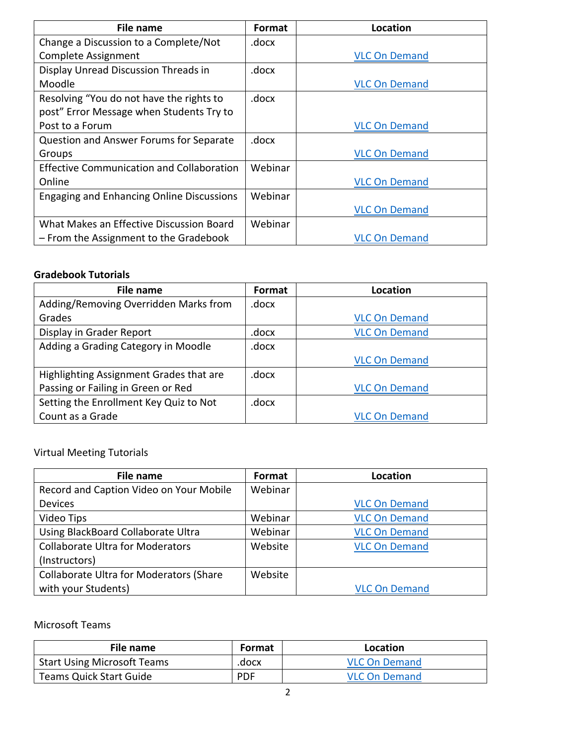| <b>File name</b>                                 | <b>Format</b> | Location             |
|--------------------------------------------------|---------------|----------------------|
| Change a Discussion to a Complete/Not            | .docx         |                      |
| Complete Assignment                              |               | <b>VLC On Demand</b> |
| Display Unread Discussion Threads in             | .docx         |                      |
| Moodle                                           |               | <b>VLC On Demand</b> |
| Resolving "You do not have the rights to         | .docx         |                      |
| post" Error Message when Students Try to         |               |                      |
| Post to a Forum                                  |               | <b>VLC On Demand</b> |
| Question and Answer Forums for Separate          | .docx         |                      |
| Groups                                           |               | <b>VLC On Demand</b> |
| <b>Effective Communication and Collaboration</b> | Webinar       |                      |
| Online                                           |               | <b>VLC On Demand</b> |
| <b>Engaging and Enhancing Online Discussions</b> | Webinar       |                      |
|                                                  |               | <b>VLC On Demand</b> |
| What Makes an Effective Discussion Board         | Webinar       |                      |
| - From the Assignment to the Gradebook           |               | <b>VLC On Demand</b> |

### **Gradebook Tutorials**

| File name                               | Format | Location             |
|-----------------------------------------|--------|----------------------|
| Adding/Removing Overridden Marks from   | .docx  |                      |
| Grades                                  |        | <b>VLC On Demand</b> |
| Display in Grader Report                | .docx  | <b>VLC On Demand</b> |
| Adding a Grading Category in Moodle     | .docx  |                      |
|                                         |        | <b>VLC On Demand</b> |
| Highlighting Assignment Grades that are | .docx  |                      |
| Passing or Failing in Green or Red      |        | <b>VLC On Demand</b> |
| Setting the Enrollment Key Quiz to Not  | .docx  |                      |
| Count as a Grade                        |        | <b>VLC On Demand</b> |

Virtual Meeting Tutorials

| File name                                      | Format  | Location             |
|------------------------------------------------|---------|----------------------|
| Record and Caption Video on Your Mobile        | Webinar |                      |
| <b>Devices</b>                                 |         | <b>VLC On Demand</b> |
| Video Tips                                     | Webinar | <b>VLC On Demand</b> |
| Using BlackBoard Collaborate Ultra             | Webinar | <b>VLC On Demand</b> |
| <b>Collaborate Ultra for Moderators</b>        | Website | <b>VLC On Demand</b> |
| (Instructors)                                  |         |                      |
| <b>Collaborate Ultra for Moderators (Share</b> | Website |                      |
| with your Students)                            |         | <b>VLC On Demand</b> |

### Microsoft Teams

| File name                          | <b>Format</b> | Location             |
|------------------------------------|---------------|----------------------|
| <b>Start Using Microsoft Teams</b> | .docx         | <b>VLC On Demand</b> |
| <b>Teams Quick Start Guide</b>     | <b>PDF</b>    | <b>VLC On Demand</b> |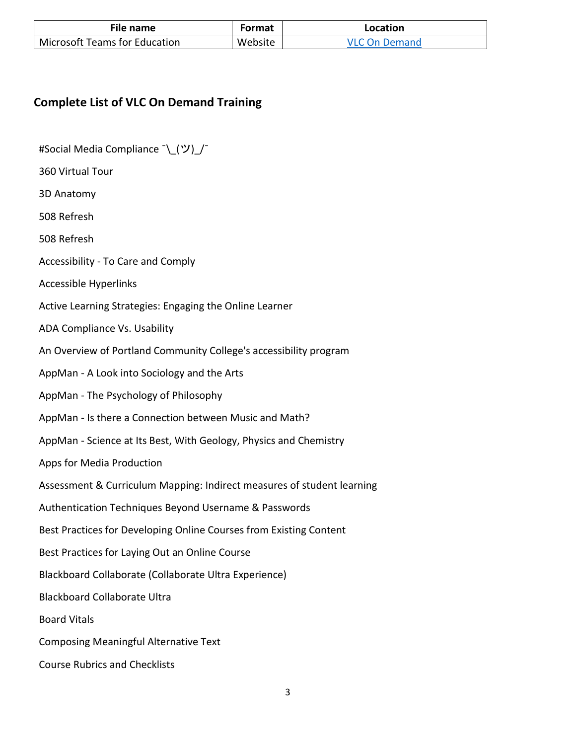| File name                            | Format  | Location             |
|--------------------------------------|---------|----------------------|
| <b>Microsoft Teams for Education</b> | Website | <b>VLC On Demand</b> |

### **Complete List of VLC On Demand Training**

#Social Media Compliance ¯ (ツ) /

360 Virtual Tour

3D Anatomy

508 Refresh

508 Refresh

Accessibility - To Care and Comply

Accessible Hyperlinks

Active Learning Strategies: Engaging the Online Learner

ADA Compliance Vs. Usability

An Overview of Portland Community College's accessibility program

AppMan - A Look into Sociology and the Arts

AppMan - The Psychology of Philosophy

AppMan - Is there a Connection between Music and Math?

AppMan - Science at Its Best, With Geology, Physics and Chemistry

Apps for Media Production

Assessment & Curriculum Mapping: Indirect measures of student learning

Authentication Techniques Beyond Username & Passwords

Best Practices for Developing Online Courses from Existing Content

Best Practices for Laying Out an Online Course

Blackboard Collaborate (Collaborate Ultra Experience)

Blackboard Collaborate Ultra

Board Vitals

Composing Meaningful Alternative Text

Course Rubrics and Checklists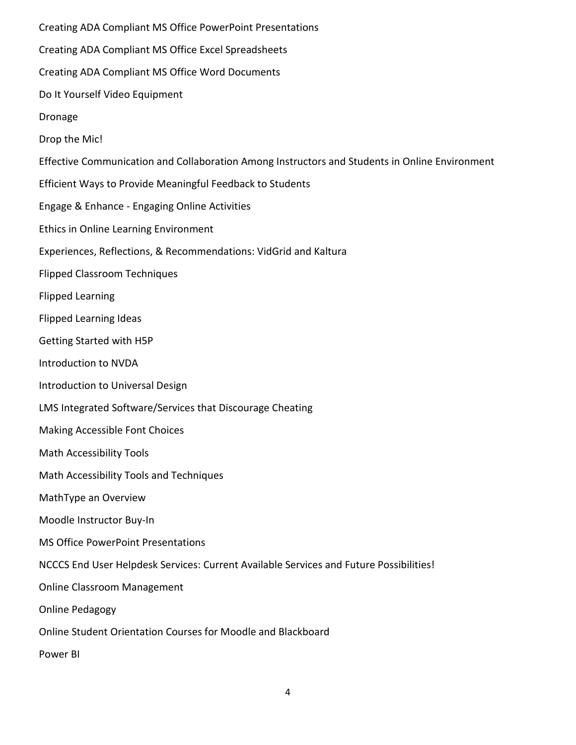Creating ADA Compliant MS Office PowerPoint Presentations Creating ADA Compliant MS Office Excel Spreadsheets Creating ADA Compliant MS Office Word Documents Do It Yourself Video Equipment Dronage Drop the Mic! Effective Communication and Collaboration Among Instructors and Students in Online Environment Efficient Ways to Provide Meaningful Feedback to Students Engage & Enhance - Engaging Online Activities Ethics in Online Learning Environment Experiences, Reflections, & Recommendations: VidGrid and Kaltura Flipped Classroom Techniques Flipped Learning Flipped Learning Ideas Getting Started with H5P Introduction to NVDA Introduction to Universal Design LMS Integrated Software/Services that Discourage Cheating Making Accessible Font Choices Math Accessibility Tools Math Accessibility Tools and Techniques MathType an Overview Moodle Instructor Buy-In MS Office PowerPoint Presentations NCCCS End User Helpdesk Services: Current Available Services and Future Possibilities! Online Classroom Management Online Pedagogy Online Student Orientation Courses for Moodle and Blackboard Power BI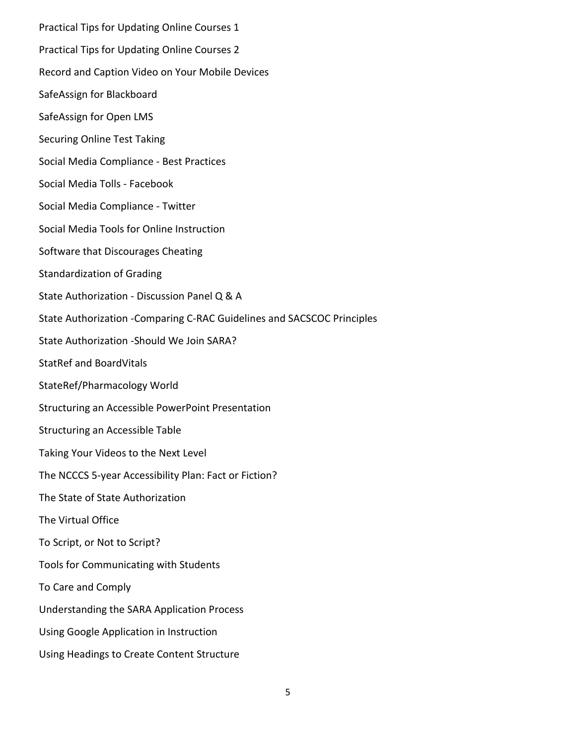Practical Tips for Updating Online Courses 1 Practical Tips for Updating Online Courses 2 Record and Caption Video on Your Mobile Devices SafeAssign for Blackboard SafeAssign for Open LMS Securing Online Test Taking Social Media Compliance - Best Practices Social Media Tolls - Facebook Social Media Compliance - Twitter Social Media Tools for Online Instruction Software that Discourages Cheating Standardization of Grading State Authorization - Discussion Panel Q & A State Authorization -Comparing C-RAC Guidelines and SACSCOC Principles State Authorization -Should We Join SARA? StatRef and BoardVitals StateRef/Pharmacology World Structuring an Accessible PowerPoint Presentation Structuring an Accessible Table Taking Your Videos to the Next Level The NCCCS 5-year Accessibility Plan: Fact or Fiction? The State of State Authorization The Virtual Office To Script, or Not to Script? Tools for Communicating with Students To Care and Comply Understanding the SARA Application Process Using Google Application in Instruction Using Headings to Create Content Structure